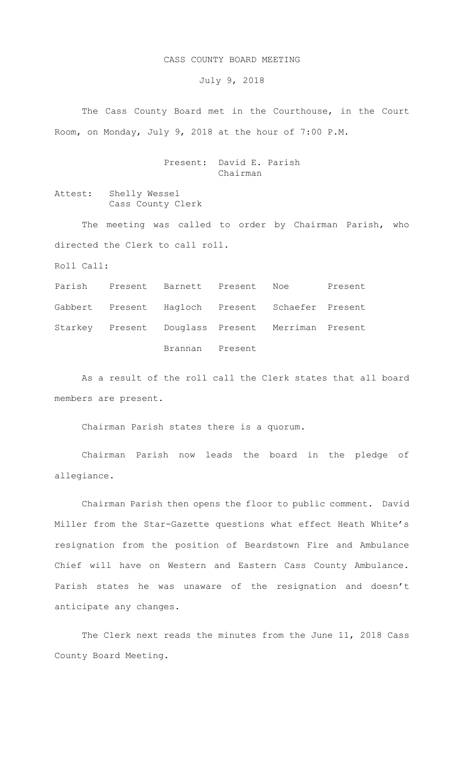## CASS COUNTY BOARD MEETING

July 9, 2018

The Cass County Board met in the Courthouse, in the Court Room, on Monday, July 9, 2018 at the hour of 7:00 P.M.

## Present: David E. Parish Chairman

Attest: Shelly Wessel Cass County Clerk

The meeting was called to order by Chairman Parish, who directed the Clerk to call roll.

Roll Call:

Parish Present Barnett Present Noe Present Gabbert Present Hagloch Present Schaefer Present Starkey Present Douglass Present Merriman Present Brannan Present

As a result of the roll call the Clerk states that all board members are present.

Chairman Parish states there is a quorum.

Chairman Parish now leads the board in the pledge of allegiance.

Chairman Parish then opens the floor to public comment. David Miller from the Star-Gazette questions what effect Heath White's resignation from the position of Beardstown Fire and Ambulance Chief will have on Western and Eastern Cass County Ambulance. Parish states he was unaware of the resignation and doesn't anticipate any changes.

The Clerk next reads the minutes from the June 11, 2018 Cass County Board Meeting.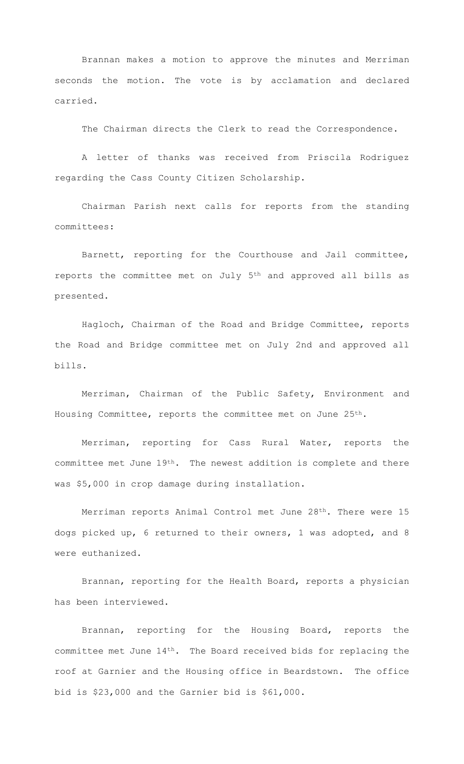Brannan makes a motion to approve the minutes and Merriman seconds the motion. The vote is by acclamation and declared carried.

The Chairman directs the Clerk to read the Correspondence.

A letter of thanks was received from Priscila Rodriguez regarding the Cass County Citizen Scholarship.

Chairman Parish next calls for reports from the standing committees:

Barnett, reporting for the Courthouse and Jail committee, reports the committee met on July 5th and approved all bills as presented.

Hagloch, Chairman of the Road and Bridge Committee, reports the Road and Bridge committee met on July 2nd and approved all bills.

Merriman, Chairman of the Public Safety, Environment and Housing Committee, reports the committee met on June 25th.

Merriman, reporting for Cass Rural Water, reports the committee met June 19th. The newest addition is complete and there was \$5,000 in crop damage during installation.

Merriman reports Animal Control met June 28th. There were 15 dogs picked up, 6 returned to their owners, 1 was adopted, and 8 were euthanized.

Brannan, reporting for the Health Board, reports a physician has been interviewed.

Brannan, reporting for the Housing Board, reports the committee met June 14th. The Board received bids for replacing the roof at Garnier and the Housing office in Beardstown. The office bid is \$23,000 and the Garnier bid is \$61,000.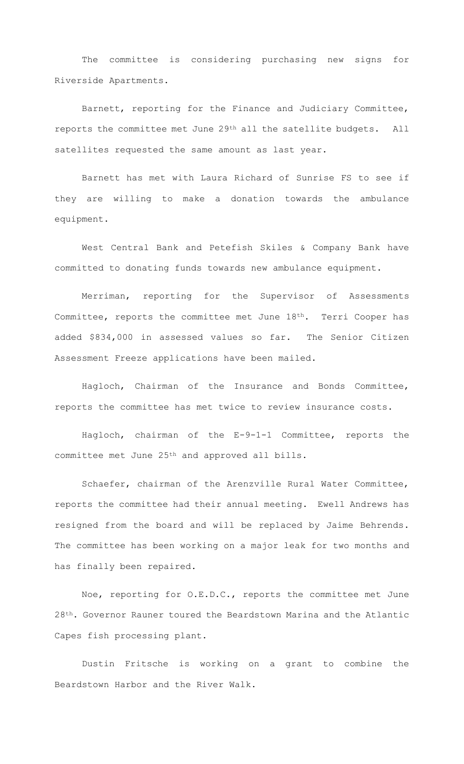The committee is considering purchasing new signs for Riverside Apartments.

Barnett, reporting for the Finance and Judiciary Committee, reports the committee met June 29th all the satellite budgets. All satellites requested the same amount as last year.

Barnett has met with Laura Richard of Sunrise FS to see if they are willing to make a donation towards the ambulance equipment.

West Central Bank and Petefish Skiles & Company Bank have committed to donating funds towards new ambulance equipment.

Merriman, reporting for the Supervisor of Assessments Committee, reports the committee met June 18th. Terri Cooper has added \$834,000 in assessed values so far. The Senior Citizen Assessment Freeze applications have been mailed.

Hagloch, Chairman of the Insurance and Bonds Committee, reports the committee has met twice to review insurance costs.

Hagloch, chairman of the E-9-1-1 Committee, reports the committee met June 25th and approved all bills.

Schaefer, chairman of the Arenzville Rural Water Committee, reports the committee had their annual meeting. Ewell Andrews has resigned from the board and will be replaced by Jaime Behrends. The committee has been working on a major leak for two months and has finally been repaired.

Noe, reporting for O.E.D.C., reports the committee met June 28th. Governor Rauner toured the Beardstown Marina and the Atlantic Capes fish processing plant.

Dustin Fritsche is working on a grant to combine the Beardstown Harbor and the River Walk.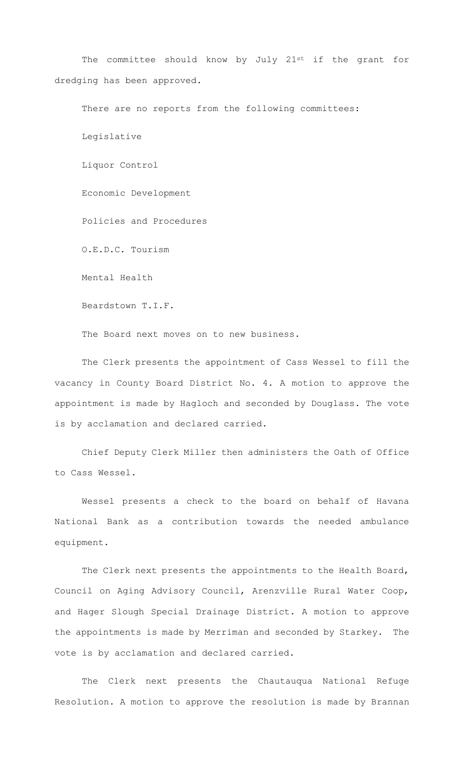The committee should know by July 21st if the grant for dredging has been approved.

There are no reports from the following committees: Legislative Liquor Control Economic Development Policies and Procedures O.E.D.C. Tourism Mental Health

Beardstown T.I.F.

The Board next moves on to new business.

The Clerk presents the appointment of Cass Wessel to fill the vacancy in County Board District No. 4. A motion to approve the appointment is made by Hagloch and seconded by Douglass. The vote is by acclamation and declared carried.

Chief Deputy Clerk Miller then administers the Oath of Office to Cass Wessel.

Wessel presents a check to the board on behalf of Havana National Bank as a contribution towards the needed ambulance equipment.

The Clerk next presents the appointments to the Health Board, Council on Aging Advisory Council, Arenzville Rural Water Coop, and Hager Slough Special Drainage District. A motion to approve the appointments is made by Merriman and seconded by Starkey. The vote is by acclamation and declared carried.

The Clerk next presents the Chautauqua National Refuge Resolution. A motion to approve the resolution is made by Brannan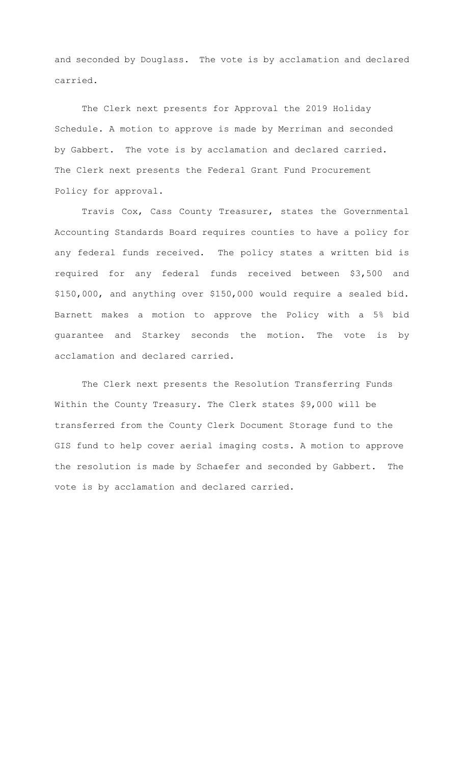and seconded by Douglass. The vote is by acclamation and declared carried.

 The Clerk next presents for Approval the 2019 Holiday Schedule. A motion to approve is made by Merriman and seconded by Gabbert. The vote is by acclamation and declared carried. The Clerk next presents the Federal Grant Fund Procurement Policy for approval.

Travis Cox, Cass County Treasurer, states the Governmental Accounting Standards Board requires counties to have a policy for any federal funds received. The policy states a written bid is required for any federal funds received between \$3,500 and \$150,000, and anything over \$150,000 would require a sealed bid. Barnett makes a motion to approve the Policy with a 5% bid guarantee and Starkey seconds the motion. The vote is by acclamation and declared carried.

 The Clerk next presents the Resolution Transferring Funds Within the County Treasury. The Clerk states \$9,000 will be transferred from the County Clerk Document Storage fund to the GIS fund to help cover aerial imaging costs. A motion to approve the resolution is made by Schaefer and seconded by Gabbert. The vote is by acclamation and declared carried.